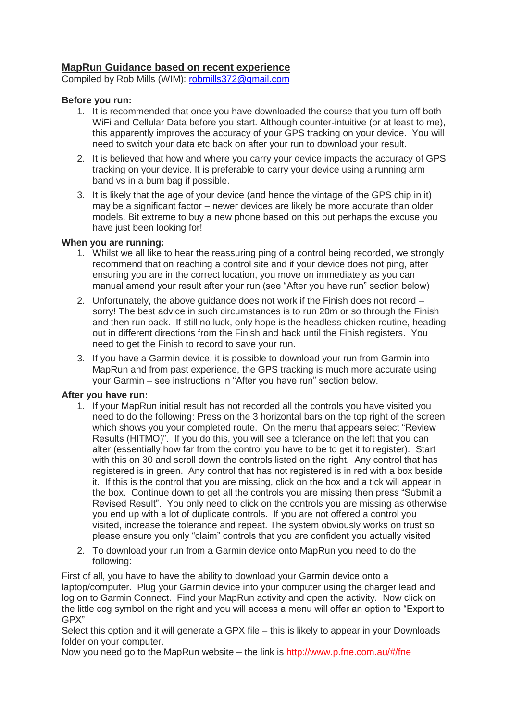## **MapRun Guidance based on recent experience**

Compiled by Rob Mills (WIM): [robmills372@gmail.com](mailto:robmills372@gmail.com)

## **Before you run:**

- 1. It is recommended that once you have downloaded the course that you turn off both WiFi and Cellular Data before you start. Although counter-intuitive (or at least to me), this apparently improves the accuracy of your GPS tracking on your device. You will need to switch your data etc back on after your run to download your result.
- 2. It is believed that how and where you carry your device impacts the accuracy of GPS tracking on your device. It is preferable to carry your device using a running arm band vs in a bum bag if possible.
- 3. It is likely that the age of your device (and hence the vintage of the GPS chip in it) may be a significant factor – newer devices are likely be more accurate than older models. Bit extreme to buy a new phone based on this but perhaps the excuse you have just been looking for!

## **When you are running:**

- 1. Whilst we all like to hear the reassuring ping of a control being recorded, we strongly recommend that on reaching a control site and if your device does not ping, after ensuring you are in the correct location, you move on immediately as you can manual amend your result after your run (see "After you have run" section below)
- 2. Unfortunately, the above guidance does not work if the Finish does not record sorry! The best advice in such circumstances is to run 20m or so through the Finish and then run back. If still no luck, only hope is the headless chicken routine, heading out in different directions from the Finish and back until the Finish registers. You need to get the Finish to record to save your run.
- 3. If you have a Garmin device, it is possible to download your run from Garmin into MapRun and from past experience, the GPS tracking is much more accurate using your Garmin – see instructions in "After you have run" section below.

## **After you have run:**

- 1. If your MapRun initial result has not recorded all the controls you have visited you need to do the following: Press on the 3 horizontal bars on the top right of the screen which shows you your completed route. On the menu that appears select "Review Results (HITMO)". If you do this, you will see a tolerance on the left that you can alter (essentially how far from the control you have to be to get it to register). Start with this on 30 and scroll down the controls listed on the right. Any control that has registered is in green. Any control that has not registered is in red with a box beside it. If this is the control that you are missing, click on the box and a tick will appear in the box. Continue down to get all the controls you are missing then press "Submit a Revised Result". You only need to click on the controls you are missing as otherwise you end up with a lot of duplicate controls. If you are not offered a control you visited, increase the tolerance and repeat. The system obviously works on trust so please ensure you only "claim" controls that you are confident you actually visited
- 2. To download your run from a Garmin device onto MapRun you need to do the following:

First of all, you have to have the ability to download your Garmin device onto a laptop/computer. Plug your Garmin device into your computer using the charger lead and log on to Garmin Connect. Find your MapRun activity and open the activity. Now click on the little cog symbol on the right and you will access a menu will offer an option to "Export to GPX"

Select this option and it will generate a GPX file – this is likely to appear in your Downloads folder on your computer.

Now you need go to the MapRun website – the link is <http://www.p.fne.com.au/#/fne>